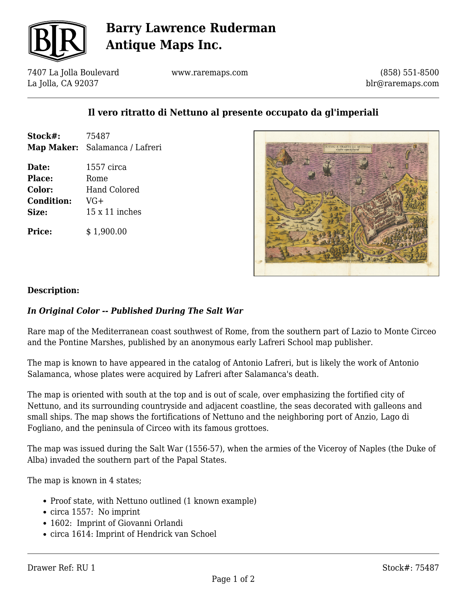

## **Barry Lawrence Ruderman Antique Maps Inc.**

7407 La Jolla Boulevard La Jolla, CA 92037

www.raremaps.com

(858) 551-8500 blr@raremaps.com

### **Il vero ritratto di Nettuno al presente occupato da gl'imperiali**

| Stock#: | 75487                                 |
|---------|---------------------------------------|
|         | <b>Map Maker:</b> Salamanca / Lafreri |

**Date:** 1557 circa Place: Rome **Color:** Hand Colored **Condition:** VG+ **Size:** 15 x 11 inches

**Price:**  $$ 1.900.00$ 



#### **Description:**

#### *In Original Color -- Published During The Salt War*

Rare map of the Mediterranean coast southwest of Rome, from the southern part of Lazio to Monte Circeo and the Pontine Marshes, published by an anonymous early Lafreri School map publisher.

The map is known to have appeared in the catalog of Antonio Lafreri, but is likely the work of Antonio Salamanca, whose plates were acquired by Lafreri after Salamanca's death.

The map is oriented with south at the top and is out of scale, over emphasizing the fortified city of Nettuno, and its surrounding countryside and adjacent coastline, the seas decorated with galleons and small ships. The map shows the fortifications of Nettuno and the neighboring port of Anzio, Lago di Fogliano, and the peninsula of Circeo with its famous grottoes.

The map was issued during the Salt War (1556-57), when the armies of the Viceroy of Naples (the Duke of Alba) invaded the southern part of the Papal States.

The map is known in 4 states;

- Proof state, with Nettuno outlined (1 known example)
- circa 1557: No imprint
- 1602: Imprint of Giovanni Orlandi
- circa 1614: Imprint of Hendrick van Schoel